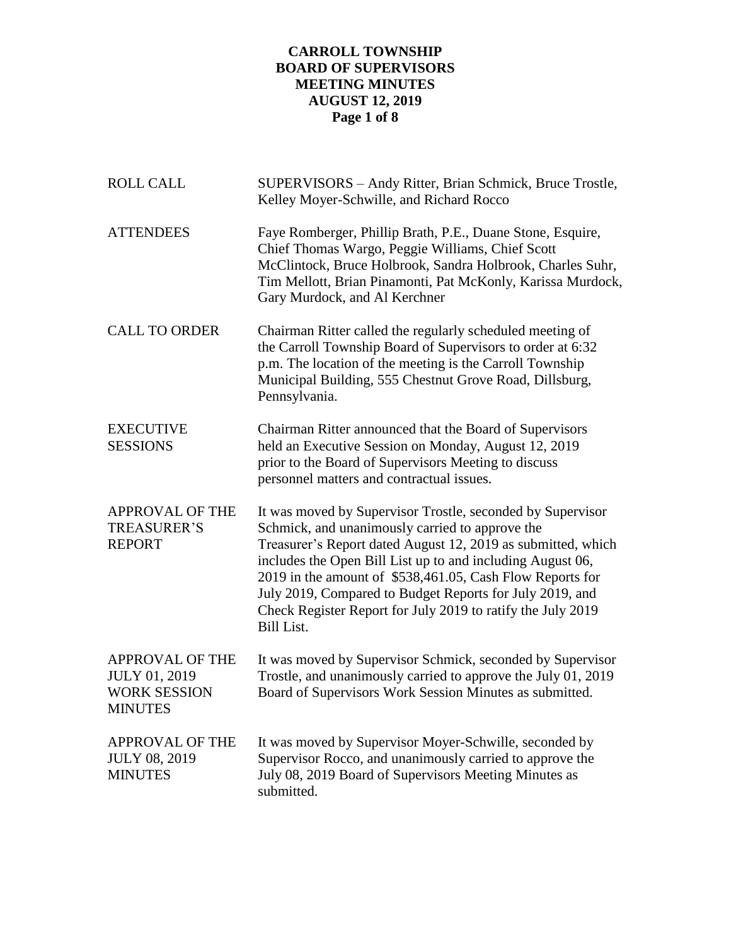# **CARROLL TOWNSHIP BOARD OF SUPERVISORS MEETING MINUTES AUGUST 12, 2019 Page 1 of 8**

| <b>ROLL CALL</b>                                                                        | SUPERVISORS - Andy Ritter, Brian Schmick, Bruce Trostle,<br>Kelley Moyer-Schwille, and Richard Rocco                                                                                                                                                                                                                                                                                                                                                     |
|-----------------------------------------------------------------------------------------|----------------------------------------------------------------------------------------------------------------------------------------------------------------------------------------------------------------------------------------------------------------------------------------------------------------------------------------------------------------------------------------------------------------------------------------------------------|
| <b>ATTENDEES</b>                                                                        | Faye Romberger, Phillip Brath, P.E., Duane Stone, Esquire,<br>Chief Thomas Wargo, Peggie Williams, Chief Scott<br>McClintock, Bruce Holbrook, Sandra Holbrook, Charles Suhr,<br>Tim Mellott, Brian Pinamonti, Pat McKonly, Karissa Murdock,<br>Gary Murdock, and Al Kerchner                                                                                                                                                                             |
| <b>CALL TO ORDER</b>                                                                    | Chairman Ritter called the regularly scheduled meeting of<br>the Carroll Township Board of Supervisors to order at 6:32<br>p.m. The location of the meeting is the Carroll Township<br>Municipal Building, 555 Chestnut Grove Road, Dillsburg,<br>Pennsylvania.                                                                                                                                                                                          |
| <b>EXECUTIVE</b><br><b>SESSIONS</b>                                                     | Chairman Ritter announced that the Board of Supervisors<br>held an Executive Session on Monday, August 12, 2019<br>prior to the Board of Supervisors Meeting to discuss<br>personnel matters and contractual issues.                                                                                                                                                                                                                                     |
| APPROVAL OF THE<br><b>TREASURER'S</b><br><b>REPORT</b>                                  | It was moved by Supervisor Trostle, seconded by Supervisor<br>Schmick, and unanimously carried to approve the<br>Treasurer's Report dated August 12, 2019 as submitted, which<br>includes the Open Bill List up to and including August 06,<br>2019 in the amount of \$538,461.05, Cash Flow Reports for<br>July 2019, Compared to Budget Reports for July 2019, and<br>Check Register Report for July 2019 to ratify the July 2019<br><b>Bill List.</b> |
| <b>APPROVAL OF THE</b><br><b>JULY 01, 2019</b><br><b>WORK SESSION</b><br><b>MINUTES</b> | It was moved by Supervisor Schmick, seconded by Supervisor<br>Trostle, and unanimously carried to approve the July 01, 2019<br>Board of Supervisors Work Session Minutes as submitted.                                                                                                                                                                                                                                                                   |
| <b>APPROVAL OF THE</b><br><b>JULY 08, 2019</b><br><b>MINUTES</b>                        | It was moved by Supervisor Moyer-Schwille, seconded by<br>Supervisor Rocco, and unanimously carried to approve the<br>July 08, 2019 Board of Supervisors Meeting Minutes as<br>submitted.                                                                                                                                                                                                                                                                |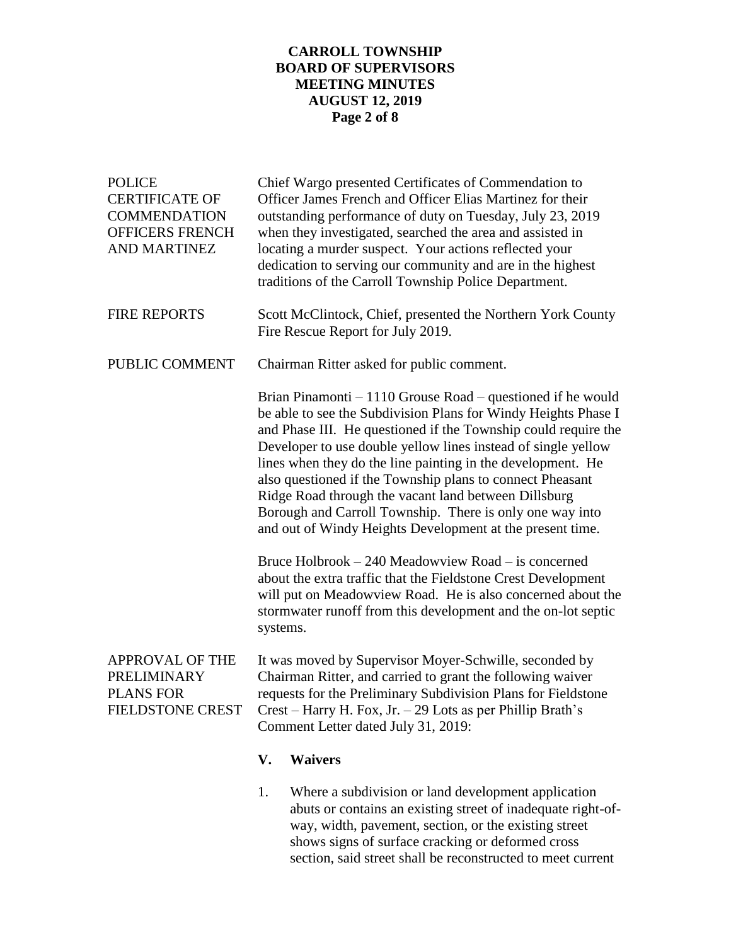# **CARROLL TOWNSHIP BOARD OF SUPERVISORS MEETING MINUTES AUGUST 12, 2019 Page 2 of 8**

| <b>POLICE</b><br><b>CERTIFICATE OF</b><br><b>COMMENDATION</b><br><b>OFFICERS FRENCH</b><br><b>AND MARTINEZ</b> |                                                                                                                                                                                                                                                                                                                                                                                                                                                                                                                                                                                  | Chief Wargo presented Certificates of Commendation to<br>Officer James French and Officer Elias Martinez for their<br>outstanding performance of duty on Tuesday, July 23, 2019<br>when they investigated, searched the area and assisted in<br>locating a murder suspect. Your actions reflected your<br>dedication to serving our community and are in the highest<br>traditions of the Carroll Township Police Department. |  |  |
|----------------------------------------------------------------------------------------------------------------|----------------------------------------------------------------------------------------------------------------------------------------------------------------------------------------------------------------------------------------------------------------------------------------------------------------------------------------------------------------------------------------------------------------------------------------------------------------------------------------------------------------------------------------------------------------------------------|-------------------------------------------------------------------------------------------------------------------------------------------------------------------------------------------------------------------------------------------------------------------------------------------------------------------------------------------------------------------------------------------------------------------------------|--|--|
| <b>FIRE REPORTS</b>                                                                                            | Scott McClintock, Chief, presented the Northern York County<br>Fire Rescue Report for July 2019.                                                                                                                                                                                                                                                                                                                                                                                                                                                                                 |                                                                                                                                                                                                                                                                                                                                                                                                                               |  |  |
| PUBLIC COMMENT                                                                                                 |                                                                                                                                                                                                                                                                                                                                                                                                                                                                                                                                                                                  | Chairman Ritter asked for public comment.                                                                                                                                                                                                                                                                                                                                                                                     |  |  |
|                                                                                                                | Brian Pinamonti $-1110$ Grouse Road $-$ questioned if he would<br>be able to see the Subdivision Plans for Windy Heights Phase I<br>and Phase III. He questioned if the Township could require the<br>Developer to use double yellow lines instead of single yellow<br>lines when they do the line painting in the development. He<br>also questioned if the Township plans to connect Pheasant<br>Ridge Road through the vacant land between Dillsburg<br>Borough and Carroll Township. There is only one way into<br>and out of Windy Heights Development at the present time. |                                                                                                                                                                                                                                                                                                                                                                                                                               |  |  |
|                                                                                                                | Bruce Holbrook - 240 Meadowview Road - is concerned<br>about the extra traffic that the Fieldstone Crest Development<br>will put on Meadowview Road. He is also concerned about the<br>stormwater runoff from this development and the on-lot septic<br>systems.                                                                                                                                                                                                                                                                                                                 |                                                                                                                                                                                                                                                                                                                                                                                                                               |  |  |
| <b>APPROVAL OF THE</b><br>PRELIMINARY<br><b>PLANS FOR</b><br><b>FIELDSTONE CREST</b>                           | It was moved by Supervisor Moyer-Schwille, seconded by<br>Chairman Ritter, and carried to grant the following waiver<br>requests for the Preliminary Subdivision Plans for Fieldstone<br>$Crest - Harry H. Fox, Jr. - 29 Lots as per Philip Brath's$<br>Comment Letter dated July 31, 2019:                                                                                                                                                                                                                                                                                      |                                                                                                                                                                                                                                                                                                                                                                                                                               |  |  |
|                                                                                                                | V.                                                                                                                                                                                                                                                                                                                                                                                                                                                                                                                                                                               | <b>Waivers</b>                                                                                                                                                                                                                                                                                                                                                                                                                |  |  |
|                                                                                                                | 1.                                                                                                                                                                                                                                                                                                                                                                                                                                                                                                                                                                               | Where a subdivision or land development application<br>abuts or contains an existing street of inadequate right-of-<br>way, width, pavement, section, or the existing street<br>shows signs of surface cracking or deformed cross<br>section, said street shall be reconstructed to meet current                                                                                                                              |  |  |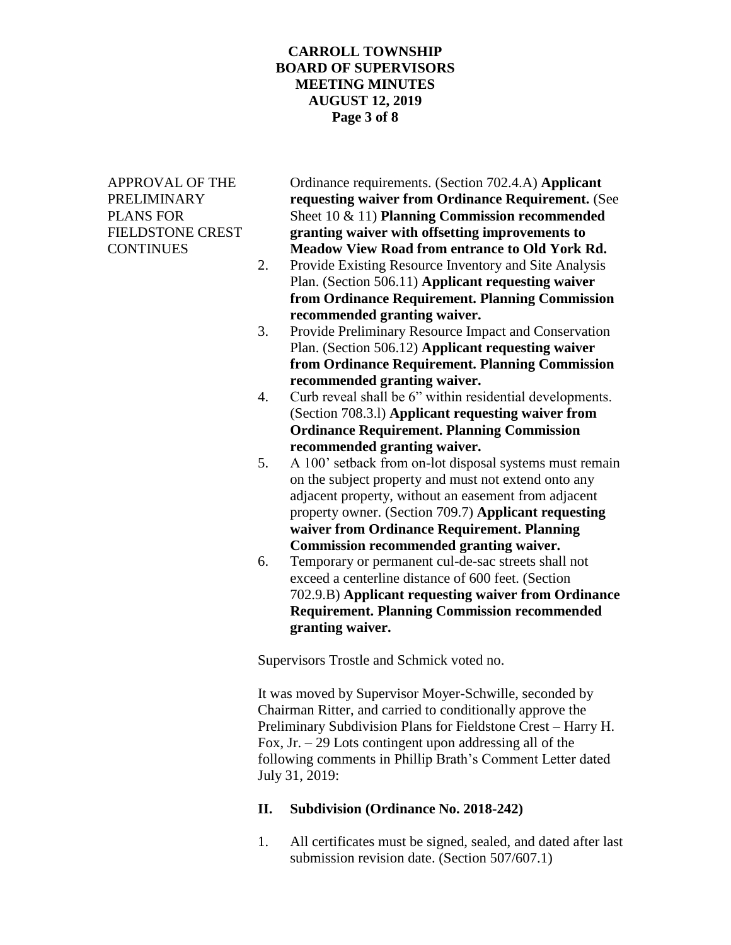### **CARROLL TOWNSHIP BOARD OF SUPERVISORS MEETING MINUTES AUGUST 12, 2019 Page 3 of 8**

APPROVAL OF THE Ordinance requirements. (Section 702.4.A) **Applicant**  PRELIMINARY **requesting waiver from Ordinance Requirement.** (See PLANS FOR Sheet 10 & 11) **Planning Commission recommended**  FIELDSTONE CREST **granting waiver with offsetting improvements to**  CONTINUES **Meadow View Road from entrance to Old York Rd.**

- 2. Provide Existing Resource Inventory and Site Analysis Plan. (Section 506.11) **Applicant requesting waiver from Ordinance Requirement. Planning Commission recommended granting waiver.**
- 3. Provide Preliminary Resource Impact and Conservation Plan. (Section 506.12) **Applicant requesting waiver from Ordinance Requirement. Planning Commission recommended granting waiver.**
- 4. Curb reveal shall be 6" within residential developments. (Section 708.3.l) **Applicant requesting waiver from Ordinance Requirement. Planning Commission recommended granting waiver.**
- 5. A 100' setback from on-lot disposal systems must remain on the subject property and must not extend onto any adjacent property, without an easement from adjacent property owner. (Section 709.7) **Applicant requesting waiver from Ordinance Requirement. Planning Commission recommended granting waiver.**
- 6. Temporary or permanent cul-de-sac streets shall not exceed a centerline distance of 600 feet. (Section 702.9.B) **Applicant requesting waiver from Ordinance Requirement. Planning Commission recommended granting waiver.**

Supervisors Trostle and Schmick voted no.

It was moved by Supervisor Moyer-Schwille, seconded by Chairman Ritter, and carried to conditionally approve the Preliminary Subdivision Plans for Fieldstone Crest – Harry H. Fox,  $Jr - 29$  Lots contingent upon addressing all of the following comments in Phillip Brath's Comment Letter dated July 31, 2019:

# **II. Subdivision (Ordinance No. 2018-242)**

1. All certificates must be signed, sealed, and dated after last submission revision date. (Section 507/607.1)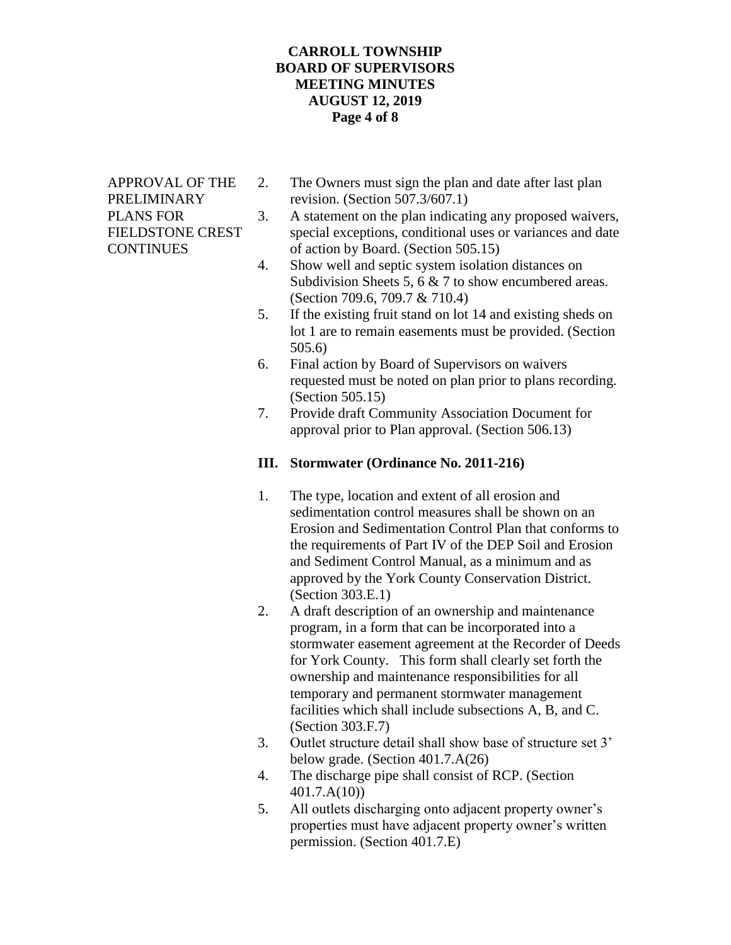## **CARROLL TOWNSHIP BOARD OF SUPERVISORS MEETING MINUTES AUGUST 12, 2019 Page 4 of 8**

- APPROVAL OF THE 2. The Owners must sign the plan and date after last plan PRELIMINARY revision. (Section 507.3/607.1)
- PLANS FOR 3. A statement on the plan indicating any proposed waivers, FIELDSTONE CREST special exceptions, conditional uses or variances and date CONTINUES of action by Board. (Section 505.15)
	- 4. Show well and septic system isolation distances on Subdivision Sheets 5, 6 & 7 to show encumbered areas. (Section 709.6, 709.7 & 710.4)
	- 5. If the existing fruit stand on lot 14 and existing sheds on lot 1 are to remain easements must be provided. (Section 505.6)
	- 6. Final action by Board of Supervisors on waivers requested must be noted on plan prior to plans recording. (Section 505.15)
	- 7. Provide draft Community Association Document for approval prior to Plan approval. (Section 506.13)

# **III. Stormwater (Ordinance No. 2011-216)**

- 1. The type, location and extent of all erosion and sedimentation control measures shall be shown on an Erosion and Sedimentation Control Plan that conforms to the requirements of Part IV of the DEP Soil and Erosion and Sediment Control Manual, as a minimum and as approved by the York County Conservation District. (Section 303.E.1)
- 2. A draft description of an ownership and maintenance program, in a form that can be incorporated into a stormwater easement agreement at the Recorder of Deeds for York County. This form shall clearly set forth the ownership and maintenance responsibilities for all temporary and permanent stormwater management facilities which shall include subsections A, B, and C. (Section 303.F.7)
- 3. Outlet structure detail shall show base of structure set 3' below grade. (Section 401.7.A(26)
- 4. The discharge pipe shall consist of RCP. (Section 401.7.A(10))
- 5. All outlets discharging onto adjacent property owner's properties must have adjacent property owner's written permission. (Section 401.7.E)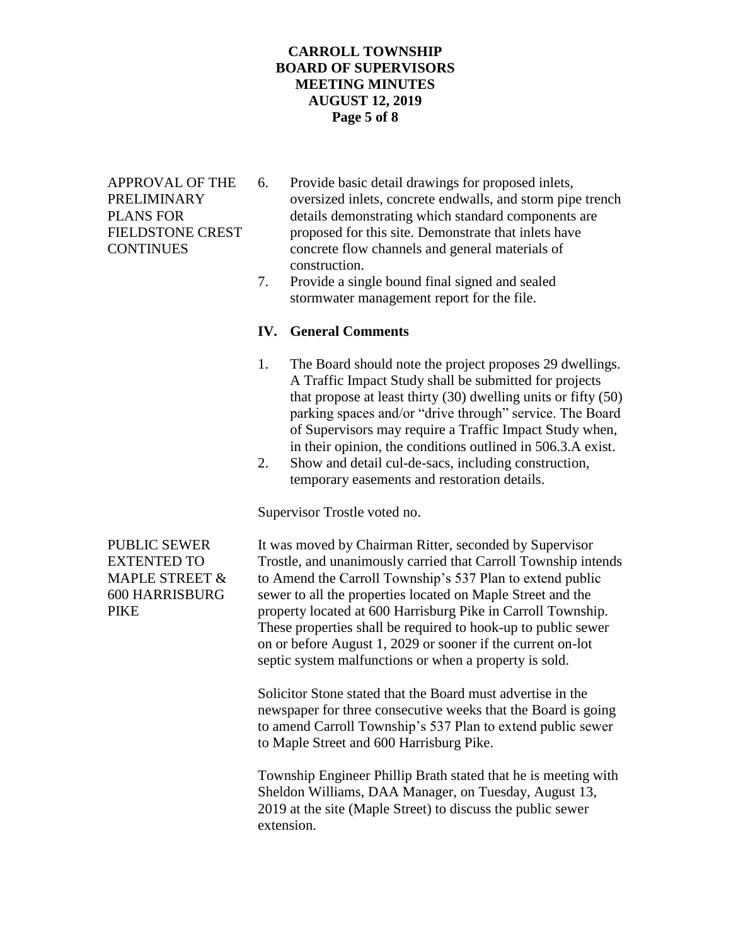# **CARROLL TOWNSHIP BOARD OF SUPERVISORS MEETING MINUTES AUGUST 12, 2019 Page 5 of 8**

- APPROVAL OF THE 6. Provide basic detail drawings for proposed inlets, PRELIMINARY oversized inlets, concrete endwalls, and storm pipe trench PLANS FOR details demonstrating which standard components are FIELDSTONE CREST proposed for this site. Demonstrate that inlets have CONTINUES concrete flow channels and general materials of construction.
	- 7. Provide a single bound final signed and sealed stormwater management report for the file.

## **IV. General Comments**

- 1. The Board should note the project proposes 29 dwellings. A Traffic Impact Study shall be submitted for projects that propose at least thirty (30) dwelling units or fifty (50) parking spaces and/or "drive through" service. The Board of Supervisors may require a Traffic Impact Study when, in their opinion, the conditions outlined in 506.3.A exist.
- 2. Show and detail cul-de-sacs, including construction, temporary easements and restoration details.

Supervisor Trostle voted no.

PUBLIC SEWER It was moved by Chairman Ritter, seconded by Supervisor EXTENTED TO Trostle, and unanimously carried that Carroll Township intends MAPLE STREET  $\&$  to Amend the Carroll Township's 537 Plan to extend public 600 HARRISBURG sewer to all the properties located on Maple Street and the PIKE property located at 600 Harrisburg Pike in Carroll Township. These properties shall be required to hook-up to public sewer on or before August 1, 2029 or sooner if the current on-lot septic system malfunctions or when a property is sold.

> Solicitor Stone stated that the Board must advertise in the newspaper for three consecutive weeks that the Board is going to amend Carroll Township's 537 Plan to extend public sewer to Maple Street and 600 Harrisburg Pike.

> Township Engineer Phillip Brath stated that he is meeting with Sheldon Williams, DAA Manager, on Tuesday, August 13, 2019 at the site (Maple Street) to discuss the public sewer extension.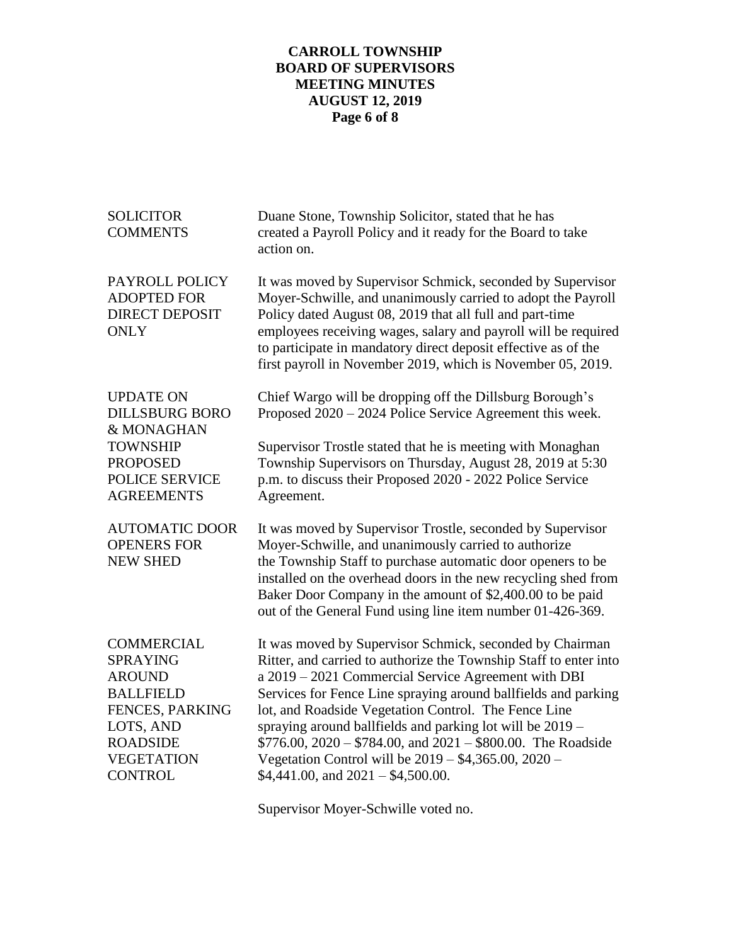# **CARROLL TOWNSHIP BOARD OF SUPERVISORS MEETING MINUTES AUGUST 12, 2019 Page 6 of 8**

| <b>SOLICITOR</b><br><b>COMMENTS</b>                                                                                                                                 | Duane Stone, Township Solicitor, stated that he has<br>created a Payroll Policy and it ready for the Board to take<br>action on.                                                                                                                                                                                                                                                                                                                                                                                                               |
|---------------------------------------------------------------------------------------------------------------------------------------------------------------------|------------------------------------------------------------------------------------------------------------------------------------------------------------------------------------------------------------------------------------------------------------------------------------------------------------------------------------------------------------------------------------------------------------------------------------------------------------------------------------------------------------------------------------------------|
| PAYROLL POLICY<br><b>ADOPTED FOR</b><br><b>DIRECT DEPOSIT</b><br><b>ONLY</b>                                                                                        | It was moved by Supervisor Schmick, seconded by Supervisor<br>Moyer-Schwille, and unanimously carried to adopt the Payroll<br>Policy dated August 08, 2019 that all full and part-time<br>employees receiving wages, salary and payroll will be required<br>to participate in mandatory direct deposit effective as of the<br>first payroll in November 2019, which is November 05, 2019.                                                                                                                                                      |
| <b>UPDATE ON</b><br><b>DILLSBURG BORO</b><br>& MONAGHAN<br><b>TOWNSHIP</b><br><b>PROPOSED</b><br><b>POLICE SERVICE</b><br><b>AGREEMENTS</b>                         | Chief Wargo will be dropping off the Dillsburg Borough's<br>Proposed 2020 – 2024 Police Service Agreement this week.<br>Supervisor Trostle stated that he is meeting with Monaghan                                                                                                                                                                                                                                                                                                                                                             |
|                                                                                                                                                                     | Township Supervisors on Thursday, August 28, 2019 at 5:30<br>p.m. to discuss their Proposed 2020 - 2022 Police Service<br>Agreement.                                                                                                                                                                                                                                                                                                                                                                                                           |
| <b>AUTOMATIC DOOR</b><br><b>OPENERS FOR</b><br><b>NEW SHED</b>                                                                                                      | It was moved by Supervisor Trostle, seconded by Supervisor<br>Moyer-Schwille, and unanimously carried to authorize<br>the Township Staff to purchase automatic door openers to be<br>installed on the overhead doors in the new recycling shed from<br>Baker Door Company in the amount of \$2,400.00 to be paid<br>out of the General Fund using line item number 01-426-369.                                                                                                                                                                 |
| <b>COMMERCIAL</b><br><b>SPRAYING</b><br><b>AROUND</b><br><b>BALLFIELD</b><br>FENCES, PARKING<br>LOTS, AND<br><b>ROADSIDE</b><br><b>VEGETATION</b><br><b>CONTROL</b> | It was moved by Supervisor Schmick, seconded by Chairman<br>Ritter, and carried to authorize the Township Staff to enter into<br>a 2019 - 2021 Commercial Service Agreement with DBI<br>Services for Fence Line spraying around ballfields and parking<br>lot, and Roadside Vegetation Control. The Fence Line<br>spraying around ballfields and parking lot will be 2019 -<br>\$776.00, 2020 - \$784.00, and 2021 - \$800.00. The Roadside<br>Vegetation Control will be $2019 - $4,365.00, 2020 -$<br>$$4,441.00$ , and $2021 - $4,500.00$ . |

Supervisor Moyer-Schwille voted no.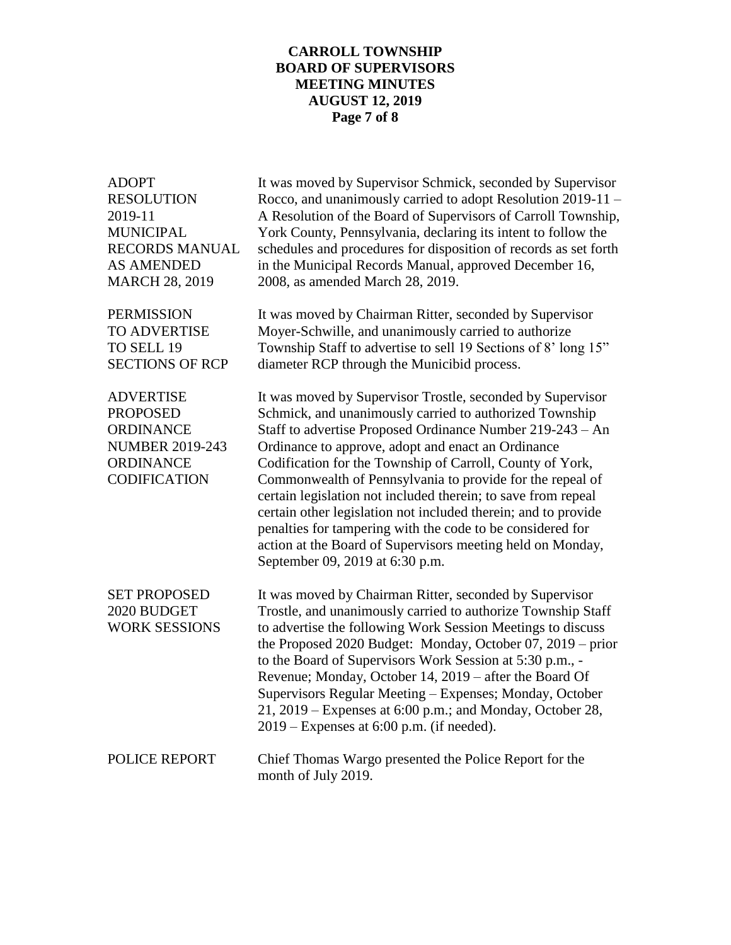## **CARROLL TOWNSHIP BOARD OF SUPERVISORS MEETING MINUTES AUGUST 12, 2019 Page 7 of 8**

ADOPT It was moved by Supervisor Schmick, seconded by Supervisor RESOLUTION Rocco, and unanimously carried to adopt Resolution 2019-11 – 2019-11 A Resolution of the Board of Supervisors of Carroll Township, MUNICIPAL York County, Pennsylvania, declaring its intent to follow the RECORDS MANUAL schedules and procedures for disposition of records as set forth AS AMENDED in the Municipal Records Manual, approved December 16, MARCH 28, 2019 2008, as amended March 28, 2019. PERMISSION It was moved by Chairman Ritter, seconded by Supervisor TO ADVERTISE Moyer-Schwille, and unanimously carried to authorize TO SELL 19 Township Staff to advertise to sell 19 Sections of 8' long 15" SECTIONS OF RCP diameter RCP through the Municibid process. ADVERTISE It was moved by Supervisor Trostle, seconded by Supervisor PROPOSED Schmick, and unanimously carried to authorized Township ORDINANCE Staff to advertise Proposed Ordinance Number 219-243 – An NUMBER 2019-243 Ordinance to approve, adopt and enact an Ordinance ORDINANCE Codification for the Township of Carroll, County of York, CODIFICATION Commonwealth of Pennsylvania to provide for the repeal of certain legislation not included therein; to save from repeal certain other legislation not included therein; and to provide penalties for tampering with the code to be considered for action at the Board of Supervisors meeting held on Monday, September 09, 2019 at 6:30 p.m. SET PROPOSED It was moved by Chairman Ritter, seconded by Supervisor 2020 BUDGET Trostle, and unanimously carried to authorize Township Staff WORK SESSIONS to advertise the following Work Session Meetings to discuss the Proposed 2020 Budget: Monday, October 07, 2019 – prior to the Board of Supervisors Work Session at 5:30 p.m., - Revenue; Monday, October 14, 2019 – after the Board Of Supervisors Regular Meeting – Expenses; Monday, October 21, 2019 – Expenses at 6:00 p.m.; and Monday, October 28, 2019 – Expenses at 6:00 p.m. (if needed). POLICE REPORT Chief Thomas Wargo presented the Police Report for the month of July 2019.